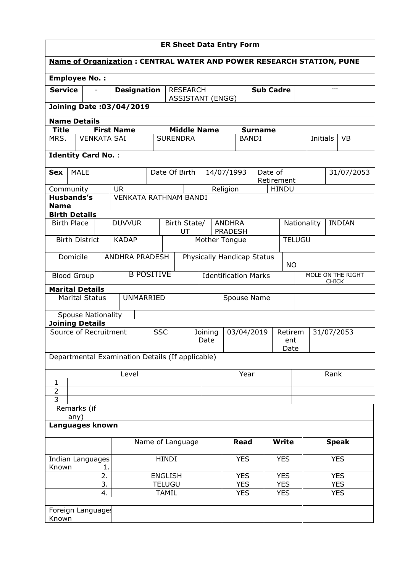| <b>ER Sheet Data Entry Form</b>                                             |                           |                   |                    |            |                                         |               |                                          |                                 |                  |                           |               |             |          |              |                   |
|-----------------------------------------------------------------------------|---------------------------|-------------------|--------------------|------------|-----------------------------------------|---------------|------------------------------------------|---------------------------------|------------------|---------------------------|---------------|-------------|----------|--------------|-------------------|
| <b>Name of Organization: CENTRAL WATER AND POWER RESEARCH STATION, PUNE</b> |                           |                   |                    |            |                                         |               |                                          |                                 |                  |                           |               |             |          |              |                   |
| <b>Employee No.:</b>                                                        |                           |                   |                    |            |                                         |               |                                          |                                 |                  |                           |               |             |          |              |                   |
| <b>Service</b>                                                              |                           |                   | <b>Designation</b> |            | <b>RESEARCH</b>                         |               | <b>ASSISTANT (ENGG)</b>                  |                                 | <b>Sub Cadre</b> |                           |               |             | $---$    |              |                   |
| Joining Date: 03/04/2019                                                    |                           |                   |                    |            |                                         |               |                                          |                                 |                  |                           |               |             |          |              |                   |
| <b>Name Details</b>                                                         |                           |                   |                    |            |                                         |               |                                          |                                 |                  |                           |               |             |          |              |                   |
| <b>Title</b>                                                                |                           | <b>First Name</b> |                    |            | <b>Middle Name</b>                      |               |                                          |                                 |                  | <b>Surname</b>            |               |             |          |              |                   |
| MRS.                                                                        | <b>VENKATA SAI</b>        |                   |                    |            | <b>SURENDRA</b>                         |               |                                          |                                 |                  | <b>BANDI</b>              |               |             | Initials |              | <b>VB</b>         |
| <b>Identity Card No.:</b>                                                   |                           |                   |                    |            |                                         |               |                                          |                                 |                  |                           |               |             |          |              |                   |
| <b>MALE</b><br>Sex                                                          |                           |                   |                    |            | Date Of Birth                           |               | 14/07/1993                               |                                 |                  | Date of                   | Retirement    |             |          |              | 31/07/2053        |
| Community                                                                   |                           | <b>UR</b>         |                    |            |                                         |               |                                          | Religion                        |                  |                           | <b>HINDU</b>  |             |          |              |                   |
| <b>Husbands's</b>                                                           |                           |                   |                    |            | <b>VENKATA RATHNAM BANDI</b>            |               |                                          |                                 |                  |                           |               |             |          |              |                   |
| <b>Name</b>                                                                 |                           |                   |                    |            |                                         |               |                                          |                                 |                  |                           |               |             |          |              |                   |
| <b>Birth Details</b>                                                        |                           |                   |                    |            |                                         |               |                                          |                                 |                  |                           |               |             |          |              |                   |
| <b>Birth Place</b>                                                          |                           | <b>DUVVUR</b>     |                    |            | Birth State/<br>UT                      |               |                                          | <b>ANDHRA</b><br><b>PRADESH</b> |                  |                           |               | Nationality |          |              | <b>INDIAN</b>     |
| <b>Birth District</b>                                                       |                           | <b>KADAP</b>      |                    |            |                                         | Mother Tongue |                                          |                                 |                  |                           | <b>TELUGU</b> |             |          |              |                   |
| Domicile<br><b>ANDHRA PRADESH</b>                                           |                           |                   |                    |            | Physically Handicap Status<br><b>NO</b> |               |                                          |                                 |                  |                           |               |             |          |              |                   |
| <b>Blood Group</b>                                                          |                           |                   | <b>B POSITIVE</b>  |            |                                         |               | <b>Identification Marks</b>              |                                 |                  |                           |               |             |          | <b>CHICK</b> | MOLE ON THE RIGHT |
| <b>Marital Details</b>                                                      |                           |                   |                    |            |                                         |               |                                          |                                 |                  |                           |               |             |          |              |                   |
|                                                                             | <b>Marital Status</b>     |                   | <b>UNMARRIED</b>   |            |                                         |               | Spouse Name                              |                                 |                  |                           |               |             |          |              |                   |
|                                                                             | <b>Spouse Nationality</b> |                   |                    |            |                                         |               |                                          |                                 |                  |                           |               |             |          |              |                   |
| <b>Joining Details</b>                                                      |                           |                   |                    |            |                                         |               |                                          |                                 |                  |                           |               |             |          |              |                   |
| Source of Recruitment                                                       |                           |                   |                    | <b>SSC</b> |                                         |               | 03/04/2019<br>Joining<br>Retirem<br>Date |                                 |                  | 31/07/2053<br>ent<br>Date |               |             |          |              |                   |
| Departmental Examination Details (If applicable)                            |                           |                   |                    |            |                                         |               |                                          |                                 |                  |                           |               |             |          |              |                   |
|                                                                             |                           | Level             |                    |            |                                         |               | Year                                     |                                 |                  |                           |               | Rank        |          |              |                   |
| 1                                                                           |                           |                   |                    |            |                                         |               |                                          |                                 |                  |                           |               |             |          |              |                   |
| $\overline{2}$<br>$\overline{3}$                                            |                           |                   |                    |            |                                         |               |                                          |                                 |                  |                           |               |             |          |              |                   |
| Remarks (if                                                                 |                           |                   |                    |            |                                         |               |                                          |                                 |                  |                           |               |             |          |              |                   |
| any)<br>Languages known                                                     |                           |                   |                    |            |                                         |               |                                          |                                 |                  |                           |               |             |          |              |                   |
|                                                                             |                           |                   |                    |            |                                         |               |                                          |                                 | <b>Read</b>      |                           | <b>Write</b>  |             |          |              |                   |
| Name of Language                                                            |                           |                   |                    |            |                                         |               |                                          |                                 |                  | <b>Speak</b>              |               |             |          |              |                   |
| Indian Languages<br>Known<br>1.                                             |                           |                   | <b>HINDI</b>       |            |                                         | <b>YES</b>    |                                          | <b>YES</b>                      |                  |                           | <b>YES</b>    |             |          |              |                   |
| 2.<br><b>ENGLISH</b>                                                        |                           |                   |                    |            |                                         | <b>YES</b>    |                                          | <b>YES</b>                      |                  |                           | <b>YES</b>    |             |          |              |                   |
|                                                                             |                           | 3.                |                    |            | <b>TELUGU</b>                           |               |                                          |                                 | <b>YES</b>       |                           | <b>YES</b>    |             |          | <b>YES</b>   |                   |
|                                                                             |                           | 4.                |                    |            | <b>TAMIL</b>                            |               |                                          |                                 | <b>YES</b>       |                           | <b>YES</b>    |             |          | <b>YES</b>   |                   |
| Foreign Language:<br>Known                                                  |                           |                   |                    |            |                                         |               |                                          |                                 |                  |                           |               |             |          |              |                   |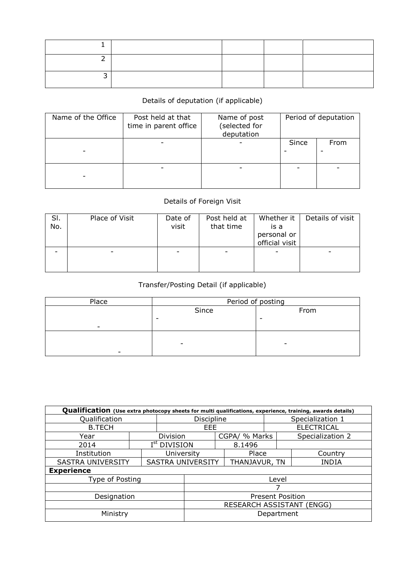## Details of deputation (if applicable)

| Name of the Office | Post held at that<br>time in parent office | Name of post<br>(selected for<br>deputation | Period of deputation |      |  |
|--------------------|--------------------------------------------|---------------------------------------------|----------------------|------|--|
|                    |                                            |                                             | Since                | From |  |
|                    |                                            |                                             |                      |      |  |

## Details of Foreign Visit

| SI.<br>No. | Place of Visit | Date of<br>visit | Post held at<br>that time | Whether it<br>is a<br>personal or<br>official visit | Details of visit |
|------------|----------------|------------------|---------------------------|-----------------------------------------------------|------------------|
|            |                |                  |                           |                                                     |                  |

## Transfer/Posting Detail (if applicable)

| Place | Period of posting        |      |  |  |  |  |  |
|-------|--------------------------|------|--|--|--|--|--|
|       | Since                    | From |  |  |  |  |  |
|       | ۰                        |      |  |  |  |  |  |
|       |                          |      |  |  |  |  |  |
|       |                          |      |  |  |  |  |  |
|       | $\overline{\phantom{0}}$ | -    |  |  |  |  |  |
|       |                          |      |  |  |  |  |  |

| Qualification (Use extra photocopy sheets for multi qualifications, experience, training, awards details) |                           |                          |                          |                   |               |  |                  |  |  |  |
|-----------------------------------------------------------------------------------------------------------|---------------------------|--------------------------|--------------------------|-------------------|---------------|--|------------------|--|--|--|
| Qualification                                                                                             | <b>Discipline</b>         |                          |                          | Specialization 1  |               |  |                  |  |  |  |
| <b>B.TECH</b>                                                                                             | EEE                       |                          |                          | <b>ELECTRICAL</b> |               |  |                  |  |  |  |
| Year                                                                                                      |                           | <b>Division</b>          |                          |                   | CGPA/ % Marks |  | Specialization 2 |  |  |  |
| 2014                                                                                                      |                           | I <sup>st</sup> DIVISION |                          |                   | 8.1496        |  |                  |  |  |  |
| Institution                                                                                               |                           | University               |                          |                   | Place         |  | Country          |  |  |  |
| <b>SASTRA UNIVERSITY</b>                                                                                  |                           |                          | <b>SASTRA UNIVERSITY</b> |                   | THANJAVUR, TN |  | <b>INDIA</b>     |  |  |  |
| <b>Experience</b>                                                                                         |                           |                          |                          |                   |               |  |                  |  |  |  |
| Type of Posting                                                                                           |                           |                          | Level                    |                   |               |  |                  |  |  |  |
|                                                                                                           | 7                         |                          |                          |                   |               |  |                  |  |  |  |
| Designation                                                                                               | <b>Present Position</b>   |                          |                          |                   |               |  |                  |  |  |  |
|                                                                                                           | RESEARCH ASSISTANT (ENGG) |                          |                          |                   |               |  |                  |  |  |  |
| Ministry                                                                                                  | Department                |                          |                          |                   |               |  |                  |  |  |  |